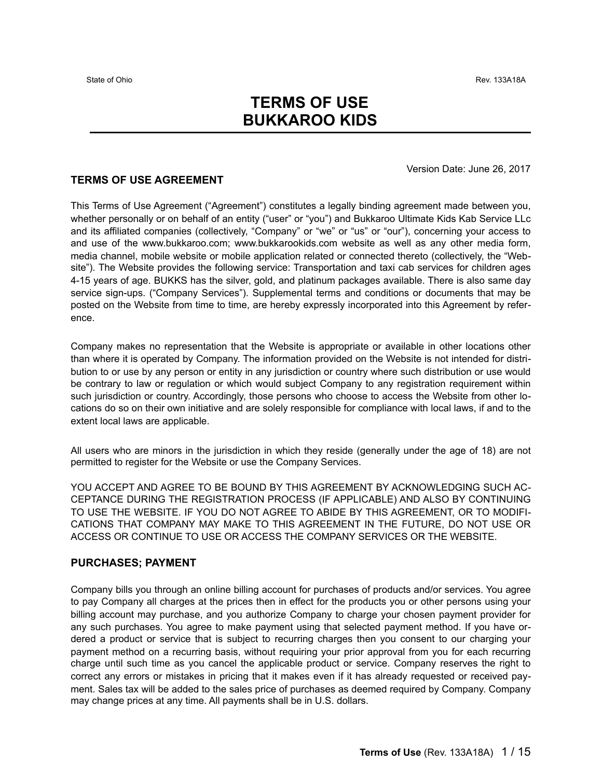# **TERMS OF USE BUKKAROO KIDS**

#### Version Date: June 26, 2017

#### **TERMS OF USE AGREEMENT**

This Terms of Use Agreement ("Agreement") constitutes a legally binding agreement made between you, whether personally or on behalf of an entity ("user" or "you") and Bukkaroo Ultimate Kids Kab Service LLc and its affiliated companies (collectively, "Company" or "we" or "us" or "our"), concerning your access to and use of the www.bukkaroo.com; www.bukkarookids.com website as well as any other media form, media channel, mobile website or mobile application related or connected thereto (collectively, the "Website"). The Website provides the following service: Transportation and taxi cab services for children ages 4-15 years of age. BUKKS has the silver, gold, and platinum packages available. There is also same day service sign-ups. ("Company Services"). Supplemental terms and conditions or documents that may be posted on the Website from time to time, are hereby expressly incorporated into this Agreement by reference.

Company makes no representation that the Website is appropriate or available in other locations other than where it is operated by Company. The information provided on the Website is not intended for distribution to or use by any person or entity in any jurisdiction or country where such distribution or use would be contrary to law or regulation or which would subject Company to any registration requirement within such jurisdiction or country. Accordingly, those persons who choose to access the Website from other locations do so on their own initiative and are solely responsible for compliance with local laws, if and to the extent local laws are applicable.

All users who are minors in the jurisdiction in which they reside (generally under the age of 18) are not permitted to register for the Website or use the Company Services.

YOU ACCEPT AND AGREE TO BE BOUND BY THIS AGREEMENT BY ACKNOWLEDGING SUCH AC-CEPTANCE DURING THE REGISTRATION PROCESS (IF APPLICABLE) AND ALSO BY CONTINUING TO USE THE WEBSITE. IF YOU DO NOT AGREE TO ABIDE BY THIS AGREEMENT, OR TO MODIFI-CATIONS THAT COMPANY MAY MAKE TO THIS AGREEMENT IN THE FUTURE, DO NOT USE OR ACCESS OR CONTINUE TO USE OR ACCESS THE COMPANY SERVICES OR THE WEBSITE.

### **PURCHASES; PAYMENT**

Company bills you through an online billing account for purchases of products and/or services. You agree to pay Company all charges at the prices then in effect for the products you or other persons using your billing account may purchase, and you authorize Company to charge your chosen payment provider for any such purchases. You agree to make payment using that selected payment method. If you have ordered a product or service that is subject to recurring charges then you consent to our charging your payment method on a recurring basis, without requiring your prior approval from you for each recurring charge until such time as you cancel the applicable product or service. Company reserves the right to correct any errors or mistakes in pricing that it makes even if it has already requested or received payment. Sales tax will be added to the sales price of purchases as deemed required by Company. Company may change prices at any time. All payments shall be in U.S. dollars.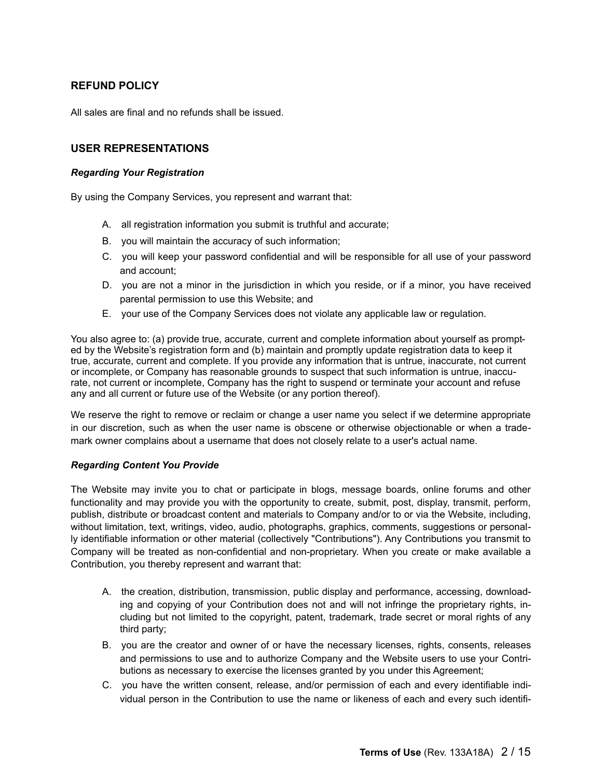# **REFUND POLICY**

All sales are final and no refunds shall be issued.

# **USER REPRESENTATIONS**

#### *Regarding Your Registration*

By using the Company Services, you represent and warrant that:

- A. all registration information you submit is truthful and accurate;
- B. you will maintain the accuracy of such information;
- C. you will keep your password confidential and will be responsible for all use of your password and account;
- D. you are not a minor in the jurisdiction in which you reside, or if a minor, you have received parental permission to use this Website; and
- E. your use of the Company Services does not violate any applicable law or regulation.

You also agree to: (a) provide true, accurate, current and complete information about yourself as prompted by the Website's registration form and (b) maintain and promptly update registration data to keep it true, accurate, current and complete. If you provide any information that is untrue, inaccurate, not current or incomplete, or Company has reasonable grounds to suspect that such information is untrue, inaccurate, not current or incomplete, Company has the right to suspend or terminate your account and refuse any and all current or future use of the Website (or any portion thereof).

We reserve the right to remove or reclaim or change a user name you select if we determine appropriate in our discretion, such as when the user name is obscene or otherwise objectionable or when a trademark owner complains about a username that does not closely relate to a user's actual name.

#### *Regarding Content You Provide*

The Website may invite you to chat or participate in blogs, message boards, online forums and other functionality and may provide you with the opportunity to create, submit, post, display, transmit, perform, publish, distribute or broadcast content and materials to Company and/or to or via the Website, including, without limitation, text, writings, video, audio, photographs, graphics, comments, suggestions or personally identifiable information or other material (collectively "Contributions"). Any Contributions you transmit to Company will be treated as non-confidential and non-proprietary. When you create or make available a Contribution, you thereby represent and warrant that:

- A. the creation, distribution, transmission, public display and performance, accessing, downloading and copying of your Contribution does not and will not infringe the proprietary rights, including but not limited to the copyright, patent, trademark, trade secret or moral rights of any third party;
- B. you are the creator and owner of or have the necessary licenses, rights, consents, releases and permissions to use and to authorize Company and the Website users to use your Contributions as necessary to exercise the licenses granted by you under this Agreement;
- C. you have the written consent, release, and/or permission of each and every identifiable individual person in the Contribution to use the name or likeness of each and every such identifi-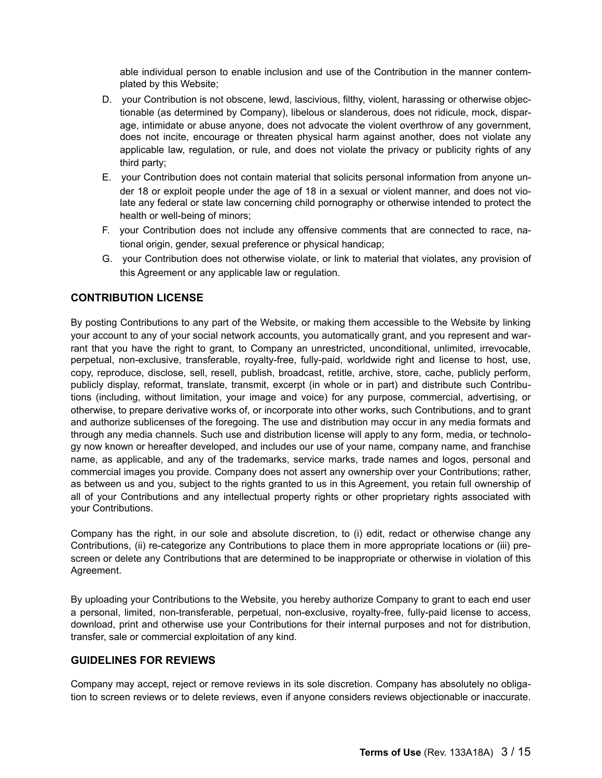able individual person to enable inclusion and use of the Contribution in the manner contemplated by this Website;

- D. your Contribution is not obscene, lewd, lascivious, filthy, violent, harassing or otherwise objectionable (as determined by Company), libelous or slanderous, does not ridicule, mock, disparage, intimidate or abuse anyone, does not advocate the violent overthrow of any government, does not incite, encourage or threaten physical harm against another, does not violate any applicable law, regulation, or rule, and does not violate the privacy or publicity rights of any third party;
- E. your Contribution does not contain material that solicits personal information from anyone under 18 or exploit people under the age of 18 in a sexual or violent manner, and does not violate any federal or state law concerning child pornography or otherwise intended to protect the health or well-being of minors;
- F. your Contribution does not include any offensive comments that are connected to race, national origin, gender, sexual preference or physical handicap;
- G. your Contribution does not otherwise violate, or link to material that violates, any provision of this Agreement or any applicable law or regulation.

# **CONTRIBUTION LICENSE**

By posting Contributions to any part of the Website, or making them accessible to the Website by linking your account to any of your social network accounts, you automatically grant, and you represent and warrant that you have the right to grant, to Company an unrestricted, unconditional, unlimited, irrevocable. perpetual, non-exclusive, transferable, royalty-free, fully-paid, worldwide right and license to host, use, copy, reproduce, disclose, sell, resell, publish, broadcast, retitle, archive, store, cache, publicly perform, publicly display, reformat, translate, transmit, excerpt (in whole or in part) and distribute such Contributions (including, without limitation, your image and voice) for any purpose, commercial, advertising, or otherwise, to prepare derivative works of, or incorporate into other works, such Contributions, and to grant and authorize sublicenses of the foregoing. The use and distribution may occur in any media formats and through any media channels. Such use and distribution license will apply to any form, media, or technology now known or hereafter developed, and includes our use of your name, company name, and franchise name, as applicable, and any of the trademarks, service marks, trade names and logos, personal and commercial images you provide. Company does not assert any ownership over your Contributions; rather, as between us and you, subject to the rights granted to us in this Agreement, you retain full ownership of all of your Contributions and any intellectual property rights or other proprietary rights associated with your Contributions.

Company has the right, in our sole and absolute discretion, to (i) edit, redact or otherwise change any Contributions, (ii) re-categorize any Contributions to place them in more appropriate locations or (iii) prescreen or delete any Contributions that are determined to be inappropriate or otherwise in violation of this Agreement.

By uploading your Contributions to the Website, you hereby authorize Company to grant to each end user a personal, limited, non-transferable, perpetual, non-exclusive, royalty-free, fully-paid license to access, download, print and otherwise use your Contributions for their internal purposes and not for distribution, transfer, sale or commercial exploitation of any kind.

### **GUIDELINES FOR REVIEWS**

Company may accept, reject or remove reviews in its sole discretion. Company has absolutely no obligation to screen reviews or to delete reviews, even if anyone considers reviews objectionable or inaccurate.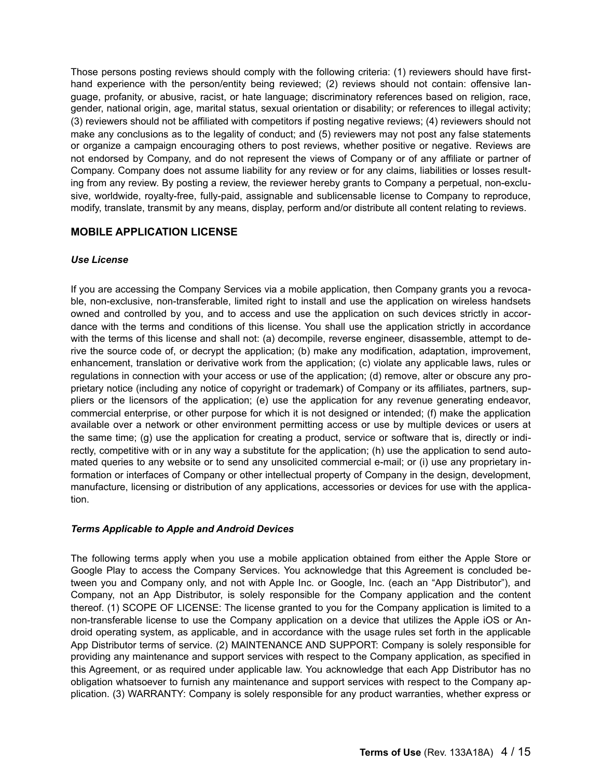Those persons posting reviews should comply with the following criteria: (1) reviewers should have firsthand experience with the person/entity being reviewed; (2) reviews should not contain: offensive language, profanity, or abusive, racist, or hate language; discriminatory references based on religion, race, gender, national origin, age, marital status, sexual orientation or disability; or references to illegal activity; (3) reviewers should not be affiliated with competitors if posting negative reviews; (4) reviewers should not make any conclusions as to the legality of conduct; and (5) reviewers may not post any false statements or organize a campaign encouraging others to post reviews, whether positive or negative. Reviews are not endorsed by Company, and do not represent the views of Company or of any affiliate or partner of Company. Company does not assume liability for any review or for any claims, liabilities or losses resulting from any review. By posting a review, the reviewer hereby grants to Company a perpetual, non-exclusive, worldwide, royalty-free, fully-paid, assignable and sublicensable license to Company to reproduce, modify, translate, transmit by any means, display, perform and/or distribute all content relating to reviews.

### **MOBILE APPLICATION LICENSE**

### *Use License*

If you are accessing the Company Services via a mobile application, then Company grants you a revocable, non-exclusive, non-transferable, limited right to install and use the application on wireless handsets owned and controlled by you, and to access and use the application on such devices strictly in accordance with the terms and conditions of this license. You shall use the application strictly in accordance with the terms of this license and shall not: (a) decompile, reverse engineer, disassemble, attempt to derive the source code of, or decrypt the application; (b) make any modification, adaptation, improvement, enhancement, translation or derivative work from the application; (c) violate any applicable laws, rules or regulations in connection with your access or use of the application; (d) remove, alter or obscure any proprietary notice (including any notice of copyright or trademark) of Company or its affiliates, partners, suppliers or the licensors of the application; (e) use the application for any revenue generating endeavor, commercial enterprise, or other purpose for which it is not designed or intended; (f) make the application available over a network or other environment permitting access or use by multiple devices or users at the same time; (g) use the application for creating a product, service or software that is, directly or indirectly, competitive with or in any way a substitute for the application; (h) use the application to send automated queries to any website or to send any unsolicited commercial e-mail; or (i) use any proprietary information or interfaces of Company or other intellectual property of Company in the design, development, manufacture, licensing or distribution of any applications, accessories or devices for use with the application.

### *Terms Applicable to Apple and Android Devices*

The following terms apply when you use a mobile application obtained from either the Apple Store or Google Play to access the Company Services. You acknowledge that this Agreement is concluded between you and Company only, and not with Apple Inc. or Google, Inc. (each an "App Distributor"), and Company, not an App Distributor, is solely responsible for the Company application and the content thereof. (1) SCOPE OF LICENSE: The license granted to you for the Company application is limited to a non-transferable license to use the Company application on a device that utilizes the Apple iOS or Android operating system, as applicable, and in accordance with the usage rules set forth in the applicable App Distributor terms of service. (2) MAINTENANCE AND SUPPORT: Company is solely responsible for providing any maintenance and support services with respect to the Company application, as specified in this Agreement, or as required under applicable law. You acknowledge that each App Distributor has no obligation whatsoever to furnish any maintenance and support services with respect to the Company application. (3) WARRANTY: Company is solely responsible for any product warranties, whether express or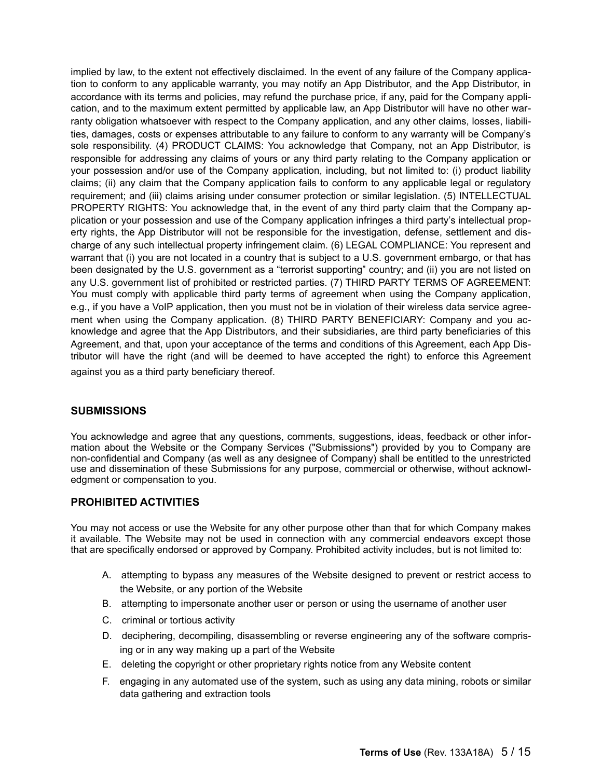implied by law, to the extent not effectively disclaimed. In the event of any failure of the Company application to conform to any applicable warranty, you may notify an App Distributor, and the App Distributor, in accordance with its terms and policies, may refund the purchase price, if any, paid for the Company application, and to the maximum extent permitted by applicable law, an App Distributor will have no other warranty obligation whatsoever with respect to the Company application, and any other claims, losses, liabilities, damages, costs or expenses attributable to any failure to conform to any warranty will be Company's sole responsibility. (4) PRODUCT CLAIMS: You acknowledge that Company, not an App Distributor, is responsible for addressing any claims of yours or any third party relating to the Company application or your possession and/or use of the Company application, including, but not limited to: (i) product liability claims; (ii) any claim that the Company application fails to conform to any applicable legal or regulatory requirement; and (iii) claims arising under consumer protection or similar legislation. (5) INTELLECTUAL PROPERTY RIGHTS: You acknowledge that, in the event of any third party claim that the Company application or your possession and use of the Company application infringes a third party's intellectual property rights, the App Distributor will not be responsible for the investigation, defense, settlement and discharge of any such intellectual property infringement claim. (6) LEGAL COMPLIANCE: You represent and warrant that (i) you are not located in a country that is subject to a U.S. government embargo, or that has been designated by the U.S. government as a "terrorist supporting" country; and (ii) you are not listed on any U.S. government list of prohibited or restricted parties. (7) THIRD PARTY TERMS OF AGREEMENT: You must comply with applicable third party terms of agreement when using the Company application, e.g., if you have a VoIP application, then you must not be in violation of their wireless data service agreement when using the Company application. (8) THIRD PARTY BENEFICIARY: Company and you acknowledge and agree that the App Distributors, and their subsidiaries, are third party beneficiaries of this Agreement, and that, upon your acceptance of the terms and conditions of this Agreement, each App Distributor will have the right (and will be deemed to have accepted the right) to enforce this Agreement against you as a third party beneficiary thereof.

### **SUBMISSIONS**

You acknowledge and agree that any questions, comments, suggestions, ideas, feedback or other information about the Website or the Company Services ("Submissions") provided by you to Company are non-confidential and Company (as well as any designee of Company) shall be entitled to the unrestricted use and dissemination of these Submissions for any purpose, commercial or otherwise, without acknowledgment or compensation to you.

# **PROHIBITED ACTIVITIES**

You may not access or use the Website for any other purpose other than that for which Company makes it available. The Website may not be used in connection with any commercial endeavors except those that are specifically endorsed or approved by Company. Prohibited activity includes, but is not limited to:

- A. attempting to bypass any measures of the Website designed to prevent or restrict access to the Website, or any portion of the Website
- B. attempting to impersonate another user or person or using the username of another user
- C. criminal or tortious activity
- D. deciphering, decompiling, disassembling or reverse engineering any of the software comprising or in any way making up a part of the Website
- E. deleting the copyright or other proprietary rights notice from any Website content
- F. engaging in any automated use of the system, such as using any data mining, robots or similar data gathering and extraction tools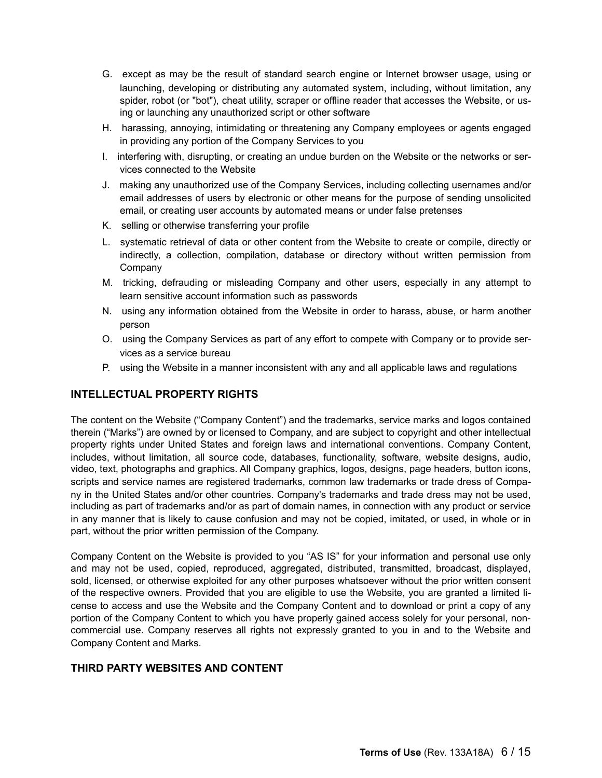- G. except as may be the result of standard search engine or Internet browser usage, using or launching, developing or distributing any automated system, including, without limitation, any spider, robot (or "bot"), cheat utility, scraper or offline reader that accesses the Website, or using or launching any unauthorized script or other software
- H. harassing, annoying, intimidating or threatening any Company employees or agents engaged in providing any portion of the Company Services to you
- I. interfering with, disrupting, or creating an undue burden on the Website or the networks or services connected to the Website
- J. making any unauthorized use of the Company Services, including collecting usernames and/or email addresses of users by electronic or other means for the purpose of sending unsolicited email, or creating user accounts by automated means or under false pretenses
- K. selling or otherwise transferring your profile
- L. systematic retrieval of data or other content from the Website to create or compile, directly or indirectly, a collection, compilation, database or directory without written permission from Company
- M. tricking, defrauding or misleading Company and other users, especially in any attempt to learn sensitive account information such as passwords
- N. using any information obtained from the Website in order to harass, abuse, or harm another person
- O. using the Company Services as part of any effort to compete with Company or to provide services as a service bureau
- P. using the Website in a manner inconsistent with any and all applicable laws and regulations

# **INTELLECTUAL PROPERTY RIGHTS**

The content on the Website ("Company Content") and the trademarks, service marks and logos contained therein ("Marks") are owned by or licensed to Company, and are subject to copyright and other intellectual property rights under United States and foreign laws and international conventions. Company Content, includes, without limitation, all source code, databases, functionality, software, website designs, audio, video, text, photographs and graphics. All Company graphics, logos, designs, page headers, button icons, scripts and service names are registered trademarks, common law trademarks or trade dress of Company in the United States and/or other countries. Company's trademarks and trade dress may not be used, including as part of trademarks and/or as part of domain names, in connection with any product or service in any manner that is likely to cause confusion and may not be copied, imitated, or used, in whole or in part, without the prior written permission of the Company.

Company Content on the Website is provided to you "AS IS" for your information and personal use only and may not be used, copied, reproduced, aggregated, distributed, transmitted, broadcast, displayed, sold, licensed, or otherwise exploited for any other purposes whatsoever without the prior written consent of the respective owners. Provided that you are eligible to use the Website, you are granted a limited license to access and use the Website and the Company Content and to download or print a copy of any portion of the Company Content to which you have properly gained access solely for your personal, noncommercial use. Company reserves all rights not expressly granted to you in and to the Website and Company Content and Marks.

### **THIRD PARTY WEBSITES AND CONTENT**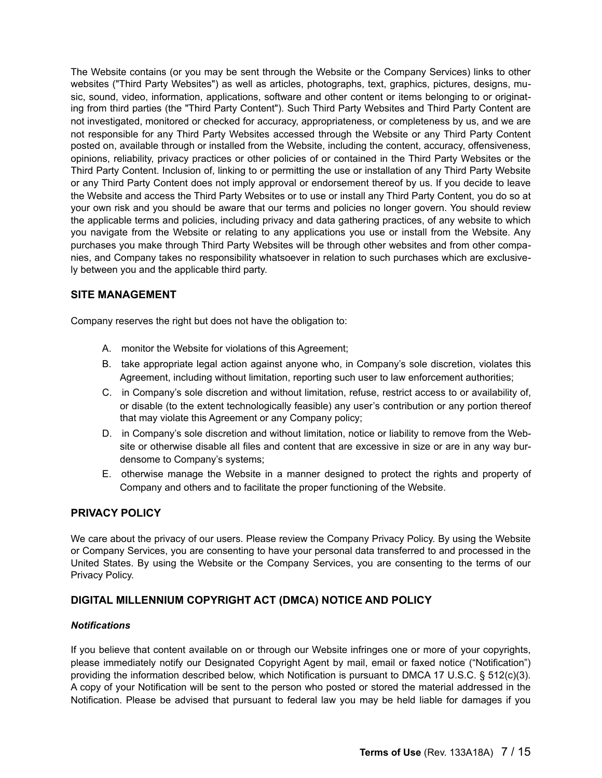The Website contains (or you may be sent through the Website or the Company Services) links to other websites ("Third Party Websites") as well as articles, photographs, text, graphics, pictures, designs, music, sound, video, information, applications, software and other content or items belonging to or originating from third parties (the "Third Party Content"). Such Third Party Websites and Third Party Content are not investigated, monitored or checked for accuracy, appropriateness, or completeness by us, and we are not responsible for any Third Party Websites accessed through the Website or any Third Party Content posted on, available through or installed from the Website, including the content, accuracy, offensiveness, opinions, reliability, privacy practices or other policies of or contained in the Third Party Websites or the Third Party Content. Inclusion of, linking to or permitting the use or installation of any Third Party Website or any Third Party Content does not imply approval or endorsement thereof by us. If you decide to leave the Website and access the Third Party Websites or to use or install any Third Party Content, you do so at your own risk and you should be aware that our terms and policies no longer govern. You should review the applicable terms and policies, including privacy and data gathering practices, of any website to which you navigate from the Website or relating to any applications you use or install from the Website. Any purchases you make through Third Party Websites will be through other websites and from other companies, and Company takes no responsibility whatsoever in relation to such purchases which are exclusively between you and the applicable third party.

# **SITE MANAGEMENT**

Company reserves the right but does not have the obligation to:

- A. monitor the Website for violations of this Agreement;
- B. take appropriate legal action against anyone who, in Company's sole discretion, violates this Agreement, including without limitation, reporting such user to law enforcement authorities;
- C. in Company's sole discretion and without limitation, refuse, restrict access to or availability of, or disable (to the extent technologically feasible) any user's contribution or any portion thereof that may violate this Agreement or any Company policy;
- D. in Company's sole discretion and without limitation, notice or liability to remove from the Website or otherwise disable all files and content that are excessive in size or are in any way burdensome to Company's systems;
- E. otherwise manage the Website in a manner designed to protect the rights and property of Company and others and to facilitate the proper functioning of the Website.

### **PRIVACY POLICY**

We care about the privacy of our users. Please review the Company Privacy Policy. By using the Website or Company Services, you are consenting to have your personal data transferred to and processed in the United States. By using the Website or the Company Services, you are consenting to the terms of our Privacy Policy.

### **DIGITAL MILLENNIUM COPYRIGHT ACT (DMCA) NOTICE AND POLICY**

#### *Notifications*

If you believe that content available on or through our Website infringes one or more of your copyrights, please immediately notify our Designated Copyright Agent by mail, email or faxed notice ("Notification") providing the information described below, which Notification is pursuant to DMCA 17 U.S.C. § 512(c)(3). A copy of your Notification will be sent to the person who posted or stored the material addressed in the Notification. Please be advised that pursuant to federal law you may be held liable for damages if you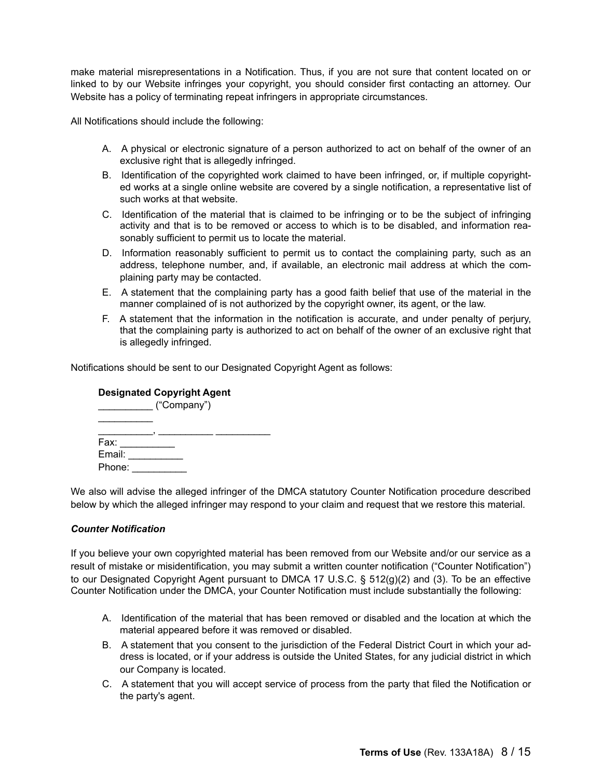make material misrepresentations in a Notification. Thus, if you are not sure that content located on or linked to by our Website infringes your copyright, you should consider first contacting an attorney. Our Website has a policy of terminating repeat infringers in appropriate circumstances.

All Notifications should include the following:

- A. A physical or electronic signature of a person authorized to act on behalf of the owner of an exclusive right that is allegedly infringed.
- B. Identification of the copyrighted work claimed to have been infringed, or, if multiple copyrighted works at a single online website are covered by a single notification, a representative list of such works at that website.
- C. Identification of the material that is claimed to be infringing or to be the subject of infringing activity and that is to be removed or access to which is to be disabled, and information reasonably sufficient to permit us to locate the material.
- D. Information reasonably sufficient to permit us to contact the complaining party, such as an address, telephone number, and, if available, an electronic mail address at which the complaining party may be contacted.
- E. A statement that the complaining party has a good faith belief that use of the material in the manner complained of is not authorized by the copyright owner, its agent, or the law.
- F. A statement that the information in the notification is accurate, and under penalty of perjury, that the complaining party is authorized to act on behalf of the owner of an exclusive right that is allegedly infringed.

Notifications should be sent to our Designated Copyright Agent as follows:

# **Designated Copyright Agent**

|        | ("Company") |  |  |
|--------|-------------|--|--|
|        |             |  |  |
| Fax:   |             |  |  |
| Email: |             |  |  |
| Phone: |             |  |  |

We also will advise the alleged infringer of the DMCA statutory Counter Notification procedure described below by which the alleged infringer may respond to your claim and request that we restore this material.

#### *Counter Notification*

If you believe your own copyrighted material has been removed from our Website and/or our service as a result of mistake or misidentification, you may submit a written counter notification ("Counter Notification") to our Designated Copyright Agent pursuant to DMCA 17 U.S.C. § 512(g)(2) and (3). To be an effective Counter Notification under the DMCA, your Counter Notification must include substantially the following:

- A. Identification of the material that has been removed or disabled and the location at which the material appeared before it was removed or disabled.
- B. A statement that you consent to the jurisdiction of the Federal District Court in which your address is located, or if your address is outside the United States, for any judicial district in which our Company is located.
- C. A statement that you will accept service of process from the party that filed the Notification or the party's agent.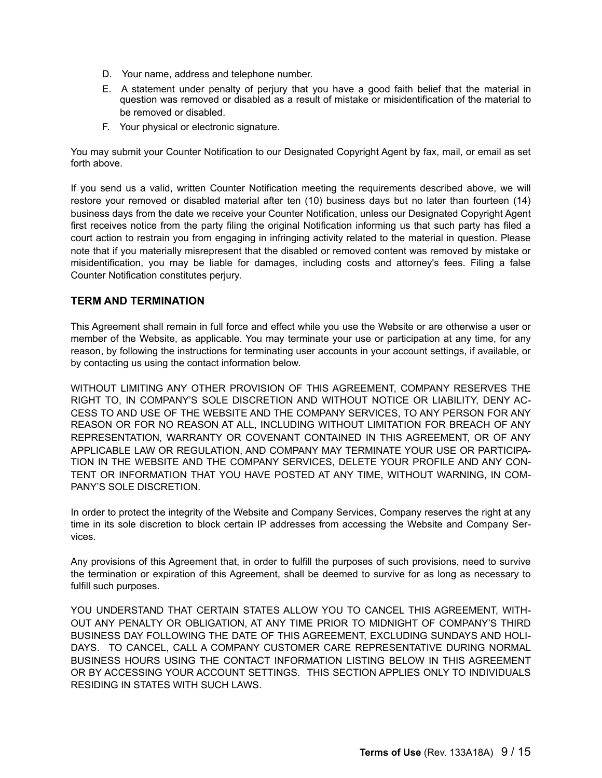- D. Your name, address and telephone number.
- E. A statement under penalty of perjury that you have a good faith belief that the material in question was removed or disabled as a result of mistake or misidentification of the material to be removed or disabled.
- F. Your physical or electronic signature.

You may submit your Counter Notification to our Designated Copyright Agent by fax, mail, or email as set forth above.

If you send us a valid, written Counter Notification meeting the requirements described above, we will restore your removed or disabled material after ten (10) business days but no later than fourteen (14) business days from the date we receive your Counter Notification, unless our Designated Copyright Agent first receives notice from the party filing the original Notification informing us that such party has filed a court action to restrain you from engaging in infringing activity related to the material in question. Please note that if you materially misrepresent that the disabled or removed content was removed by mistake or misidentification, you may be liable for damages, including costs and attorney's fees. Filing a false Counter Notification constitutes perjury.

### **TERM AND TERMINATION**

This Agreement shall remain in full force and effect while you use the Website or are otherwise a user or member of the Website, as applicable. You may terminate your use or participation at any time, for any reason, by following the instructions for terminating user accounts in your account settings, if available, or by contacting us using the contact information below.

WITHOUT LIMITING ANY OTHER PROVISION OF THIS AGREEMENT, COMPANY RESERVES THE RIGHT TO, IN COMPANY'S SOLE DISCRETION AND WITHOUT NOTICE OR LIABILITY, DENY AC-CESS TO AND USE OF THE WEBSITE AND THE COMPANY SERVICES, TO ANY PERSON FOR ANY REASON OR FOR NO REASON AT ALL, INCLUDING WITHOUT LIMITATION FOR BREACH OF ANY REPRESENTATION, WARRANTY OR COVENANT CONTAINED IN THIS AGREEMENT, OR OF ANY APPLICABLE LAW OR REGULATION, AND COMPANY MAY TERMINATE YOUR USE OR PARTICIPA-TION IN THE WEBSITE AND THE COMPANY SERVICES, DELETE YOUR PROFILE AND ANY CON-TENT OR INFORMATION THAT YOU HAVE POSTED AT ANY TIME, WITHOUT WARNING, IN COM-PANY'S SOLE DISCRETION.

In order to protect the integrity of the Website and Company Services, Company reserves the right at any time in its sole discretion to block certain IP addresses from accessing the Website and Company Services.

Any provisions of this Agreement that, in order to fulfill the purposes of such provisions, need to survive the termination or expiration of this Agreement, shall be deemed to survive for as long as necessary to fulfill such purposes.

YOU UNDERSTAND THAT CERTAIN STATES ALLOW YOU TO CANCEL THIS AGREEMENT, WITH-OUT ANY PENALTY OR OBLIGATION, AT ANY TIME PRIOR TO MIDNIGHT OF COMPANY'S THIRD BUSINESS DAY FOLLOWING THE DATE OF THIS AGREEMENT, EXCLUDING SUNDAYS AND HOLI-DAYS. TO CANCEL, CALL A COMPANY CUSTOMER CARE REPRESENTATIVE DURING NORMAL BUSINESS HOURS USING THE CONTACT INFORMATION LISTING BELOW IN THIS AGREEMENT OR BY ACCESSING YOUR ACCOUNT SETTINGS. THIS SECTION APPLIES ONLY TO INDIVIDUALS RESIDING IN STATES WITH SUCH LAWS.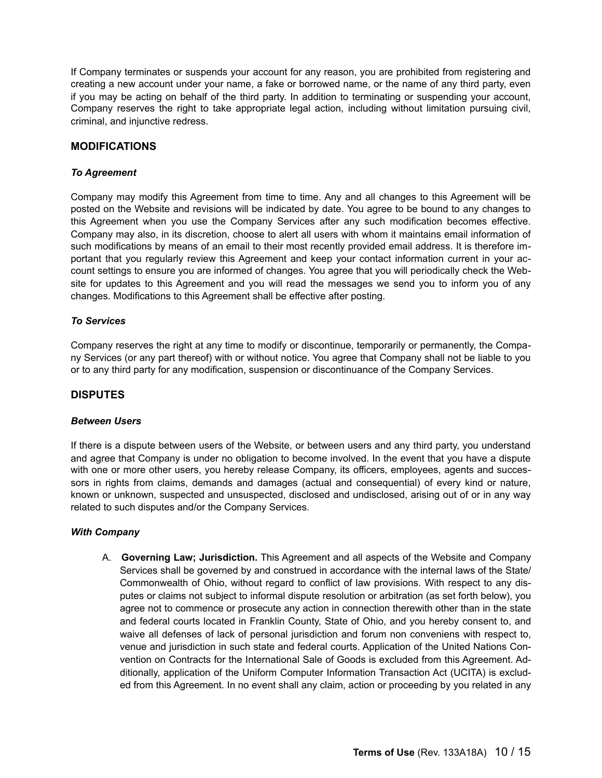If Company terminates or suspends your account for any reason, you are prohibited from registering and creating a new account under your name, a fake or borrowed name, or the name of any third party, even if you may be acting on behalf of the third party. In addition to terminating or suspending your account, Company reserves the right to take appropriate legal action, including without limitation pursuing civil, criminal, and injunctive redress.

### **MODIFICATIONS**

### *To Agreement*

Company may modify this Agreement from time to time. Any and all changes to this Agreement will be posted on the Website and revisions will be indicated by date. You agree to be bound to any changes to this Agreement when you use the Company Services after any such modification becomes effective. Company may also, in its discretion, choose to alert all users with whom it maintains email information of such modifications by means of an email to their most recently provided email address. It is therefore important that you regularly review this Agreement and keep your contact information current in your account settings to ensure you are informed of changes. You agree that you will periodically check the Website for updates to this Agreement and you will read the messages we send you to inform you of any changes. Modifications to this Agreement shall be effective after posting.

### *To Services*

Company reserves the right at any time to modify or discontinue, temporarily or permanently, the Company Services (or any part thereof) with or without notice. You agree that Company shall not be liable to you or to any third party for any modification, suspension or discontinuance of the Company Services.

# **DISPUTES**

### *Between Users*

If there is a dispute between users of the Website, or between users and any third party, you understand and agree that Company is under no obligation to become involved. In the event that you have a dispute with one or more other users, you hereby release Company, its officers, employees, agents and successors in rights from claims, demands and damages (actual and consequential) of every kind or nature, known or unknown, suspected and unsuspected, disclosed and undisclosed, arising out of or in any way related to such disputes and/or the Company Services.

#### *With Company*

A. **Governing Law; Jurisdiction.** This Agreement and all aspects of the Website and Company Services shall be governed by and construed in accordance with the internal laws of the State/ Commonwealth of Ohio, without regard to conflict of law provisions. With respect to any disputes or claims not subject to informal dispute resolution or arbitration (as set forth below), you agree not to commence or prosecute any action in connection therewith other than in the state and federal courts located in Franklin County, State of Ohio, and you hereby consent to, and waive all defenses of lack of personal jurisdiction and forum non conveniens with respect to, venue and jurisdiction in such state and federal courts. Application of the United Nations Convention on Contracts for the International Sale of Goods is excluded from this Agreement. Additionally, application of the Uniform Computer Information Transaction Act (UCITA) is excluded from this Agreement. In no event shall any claim, action or proceeding by you related in any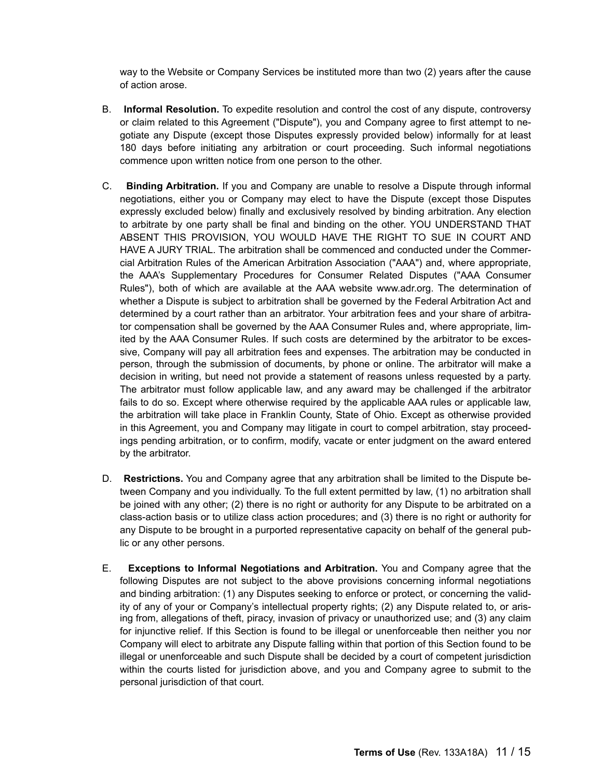way to the Website or Company Services be instituted more than two (2) years after the cause of action arose.

- B. **Informal Resolution.** To expedite resolution and control the cost of any dispute, controversy or claim related to this Agreement ("Dispute"), you and Company agree to first attempt to negotiate any Dispute (except those Disputes expressly provided below) informally for at least 180 days before initiating any arbitration or court proceeding. Such informal negotiations commence upon written notice from one person to the other.
- C. **Binding Arbitration.** If you and Company are unable to resolve a Dispute through informal negotiations, either you or Company may elect to have the Dispute (except those Disputes expressly excluded below) finally and exclusively resolved by binding arbitration. Any election to arbitrate by one party shall be final and binding on the other. YOU UNDERSTAND THAT ABSENT THIS PROVISION, YOU WOULD HAVE THE RIGHT TO SUE IN COURT AND HAVE A JURY TRIAL. The arbitration shall be commenced and conducted under the Commercial Arbitration Rules of the American Arbitration Association ("AAA") and, where appropriate, the AAA's Supplementary Procedures for Consumer Related Disputes ("AAA Consumer Rules"), both of which are available at the AAA website www.adr.org. The determination of whether a Dispute is subject to arbitration shall be governed by the Federal Arbitration Act and determined by a court rather than an arbitrator. Your arbitration fees and your share of arbitrator compensation shall be governed by the AAA Consumer Rules and, where appropriate, limited by the AAA Consumer Rules. If such costs are determined by the arbitrator to be excessive, Company will pay all arbitration fees and expenses. The arbitration may be conducted in person, through the submission of documents, by phone or online. The arbitrator will make a decision in writing, but need not provide a statement of reasons unless requested by a party. The arbitrator must follow applicable law, and any award may be challenged if the arbitrator fails to do so. Except where otherwise required by the applicable AAA rules or applicable law, the arbitration will take place in Franklin County, State of Ohio. Except as otherwise provided in this Agreement, you and Company may litigate in court to compel arbitration, stay proceedings pending arbitration, or to confirm, modify, vacate or enter judgment on the award entered by the arbitrator.
- D. **Restrictions.** You and Company agree that any arbitration shall be limited to the Dispute between Company and you individually. To the full extent permitted by law, (1) no arbitration shall be joined with any other; (2) there is no right or authority for any Dispute to be arbitrated on a class-action basis or to utilize class action procedures; and (3) there is no right or authority for any Dispute to be brought in a purported representative capacity on behalf of the general public or any other persons.
- E. **Exceptions to Informal Negotiations and Arbitration.** You and Company agree that the following Disputes are not subject to the above provisions concerning informal negotiations and binding arbitration: (1) any Disputes seeking to enforce or protect, or concerning the validity of any of your or Company's intellectual property rights; (2) any Dispute related to, or arising from, allegations of theft, piracy, invasion of privacy or unauthorized use; and (3) any claim for injunctive relief. If this Section is found to be illegal or unenforceable then neither you nor Company will elect to arbitrate any Dispute falling within that portion of this Section found to be illegal or unenforceable and such Dispute shall be decided by a court of competent jurisdiction within the courts listed for jurisdiction above, and you and Company agree to submit to the personal jurisdiction of that court.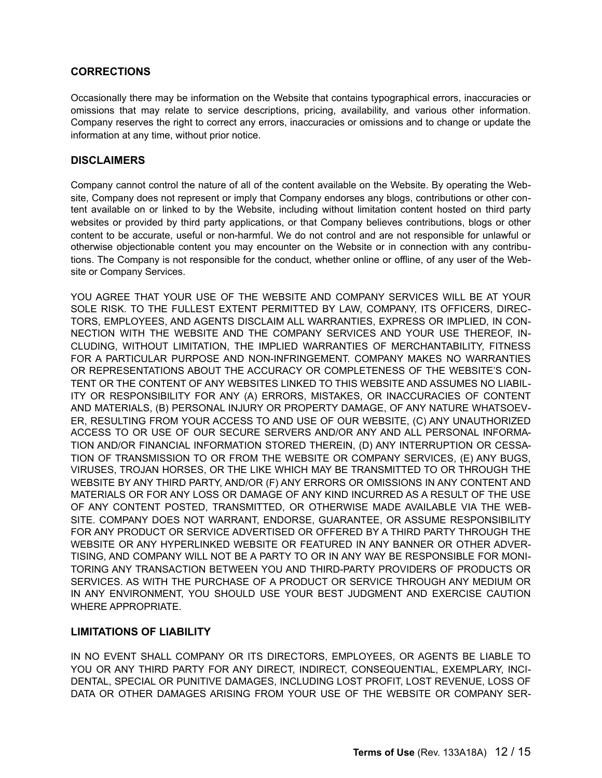### **CORRECTIONS**

Occasionally there may be information on the Website that contains typographical errors, inaccuracies or omissions that may relate to service descriptions, pricing, availability, and various other information. Company reserves the right to correct any errors, inaccuracies or omissions and to change or update the information at any time, without prior notice.

### **DISCLAIMERS**

Company cannot control the nature of all of the content available on the Website. By operating the Website, Company does not represent or imply that Company endorses any blogs, contributions or other content available on or linked to by the Website, including without limitation content hosted on third party websites or provided by third party applications, or that Company believes contributions, blogs or other content to be accurate, useful or non-harmful. We do not control and are not responsible for unlawful or otherwise objectionable content you may encounter on the Website or in connection with any contributions. The Company is not responsible for the conduct, whether online or offline, of any user of the Website or Company Services.

YOU AGREE THAT YOUR USE OF THE WEBSITE AND COMPANY SERVICES WILL BE AT YOUR SOLE RISK. TO THE FULLEST EXTENT PERMITTED BY LAW, COMPANY, ITS OFFICERS, DIREC-TORS, EMPLOYEES, AND AGENTS DISCLAIM ALL WARRANTIES, EXPRESS OR IMPLIED, IN CON-NECTION WITH THE WEBSITE AND THE COMPANY SERVICES AND YOUR USE THEREOF, IN-CLUDING, WITHOUT LIMITATION, THE IMPLIED WARRANTIES OF MERCHANTABILITY, FITNESS FOR A PARTICULAR PURPOSE AND NON-INFRINGEMENT. COMPANY MAKES NO WARRANTIES OR REPRESENTATIONS ABOUT THE ACCURACY OR COMPLETENESS OF THE WEBSITE'S CON-TENT OR THE CONTENT OF ANY WEBSITES LINKED TO THIS WEBSITE AND ASSUMES NO LIABIL-ITY OR RESPONSIBILITY FOR ANY (A) ERRORS, MISTAKES, OR INACCURACIES OF CONTENT AND MATERIALS, (B) PERSONAL INJURY OR PROPERTY DAMAGE, OF ANY NATURE WHATSOEV-ER, RESULTING FROM YOUR ACCESS TO AND USE OF OUR WEBSITE, (C) ANY UNAUTHORIZED ACCESS TO OR USE OF OUR SECURE SERVERS AND/OR ANY AND ALL PERSONAL INFORMA-TION AND/OR FINANCIAL INFORMATION STORED THEREIN, (D) ANY INTERRUPTION OR CESSA-TION OF TRANSMISSION TO OR FROM THE WEBSITE OR COMPANY SERVICES, (E) ANY BUGS, VIRUSES, TROJAN HORSES, OR THE LIKE WHICH MAY BE TRANSMITTED TO OR THROUGH THE WEBSITE BY ANY THIRD PARTY, AND/OR (F) ANY ERRORS OR OMISSIONS IN ANY CONTENT AND MATERIALS OR FOR ANY LOSS OR DAMAGE OF ANY KIND INCURRED AS A RESULT OF THE USE OF ANY CONTENT POSTED, TRANSMITTED, OR OTHERWISE MADE AVAILABLE VIA THE WEB-SITE. COMPANY DOES NOT WARRANT, ENDORSE, GUARANTEE, OR ASSUME RESPONSIBILITY FOR ANY PRODUCT OR SERVICE ADVERTISED OR OFFERED BY A THIRD PARTY THROUGH THE WEBSITE OR ANY HYPERLINKED WEBSITE OR FEATURED IN ANY BANNER OR OTHER ADVER-TISING, AND COMPANY WILL NOT BE A PARTY TO OR IN ANY WAY BE RESPONSIBLE FOR MONI-TORING ANY TRANSACTION BETWEEN YOU AND THIRD-PARTY PROVIDERS OF PRODUCTS OR SERVICES. AS WITH THE PURCHASE OF A PRODUCT OR SERVICE THROUGH ANY MEDIUM OR IN ANY ENVIRONMENT, YOU SHOULD USE YOUR BEST JUDGMENT AND EXERCISE CAUTION WHERE APPROPRIATE.

### **LIMITATIONS OF LIABILITY**

IN NO EVENT SHALL COMPANY OR ITS DIRECTORS, EMPLOYEES, OR AGENTS BE LIABLE TO YOU OR ANY THIRD PARTY FOR ANY DIRECT, INDIRECT, CONSEQUENTIAL, EXEMPLARY. INCI-DENTAL, SPECIAL OR PUNITIVE DAMAGES, INCLUDING LOST PROFIT, LOST REVENUE, LOSS OF DATA OR OTHER DAMAGES ARISING FROM YOUR USE OF THE WEBSITE OR COMPANY SER-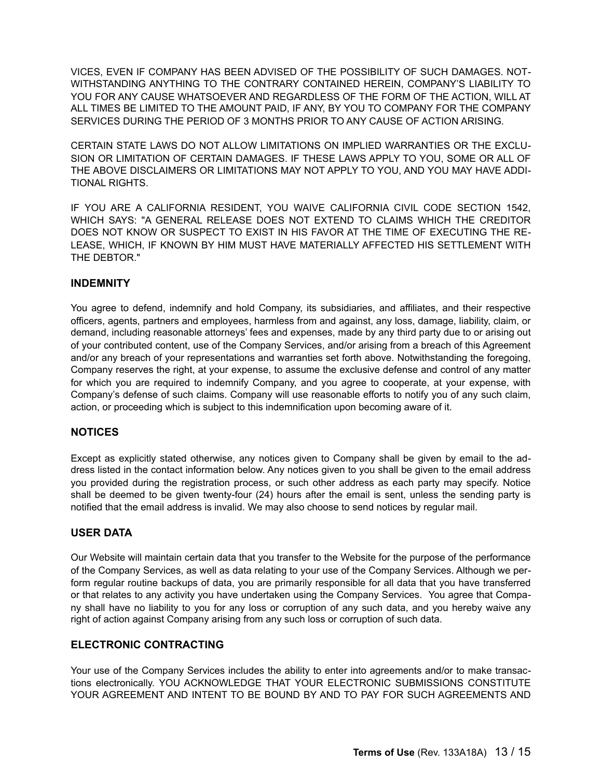VICES, EVEN IF COMPANY HAS BEEN ADVISED OF THE POSSIBILITY OF SUCH DAMAGES. NOT-WITHSTANDING ANYTHING TO THE CONTRARY CONTAINED HEREIN, COMPANY'S LIABILITY TO YOU FOR ANY CAUSE WHATSOEVER AND REGARDLESS OF THE FORM OF THE ACTION, WILL AT ALL TIMES BE LIMITED TO THE AMOUNT PAID, IF ANY, BY YOU TO COMPANY FOR THE COMPANY SERVICES DURING THE PERIOD OF 3 MONTHS PRIOR TO ANY CAUSE OF ACTION ARISING.

CERTAIN STATE LAWS DO NOT ALLOW LIMITATIONS ON IMPLIED WARRANTIES OR THE EXCLU-SION OR LIMITATION OF CERTAIN DAMAGES. IF THESE LAWS APPLY TO YOU, SOME OR ALL OF THE ABOVE DISCLAIMERS OR LIMITATIONS MAY NOT APPLY TO YOU, AND YOU MAY HAVE ADDI-TIONAL RIGHTS.

IF YOU ARE A CALIFORNIA RESIDENT, YOU WAIVE CALIFORNIA CIVIL CODE SECTION 1542, WHICH SAYS: "A GENERAL RELEASE DOES NOT EXTEND TO CLAIMS WHICH THE CREDITOR DOES NOT KNOW OR SUSPECT TO EXIST IN HIS FAVOR AT THE TIME OF EXECUTING THE RE-LEASE, WHICH, IF KNOWN BY HIM MUST HAVE MATERIALLY AFFECTED HIS SETTLEMENT WITH THE DEBTOR."

### **INDEMNITY**

You agree to defend, indemnify and hold Company, its subsidiaries, and affiliates, and their respective officers, agents, partners and employees, harmless from and against, any loss, damage, liability, claim, or demand, including reasonable attorneys' fees and expenses, made by any third party due to or arising out of your contributed content, use of the Company Services, and/or arising from a breach of this Agreement and/or any breach of your representations and warranties set forth above. Notwithstanding the foregoing, Company reserves the right, at your expense, to assume the exclusive defense and control of any matter for which you are required to indemnify Company, and you agree to cooperate, at your expense, with Company's defense of such claims. Company will use reasonable efforts to notify you of any such claim, action, or proceeding which is subject to this indemnification upon becoming aware of it.

# **NOTICES**

Except as explicitly stated otherwise, any notices given to Company shall be given by email to the address listed in the contact information below. Any notices given to you shall be given to the email address you provided during the registration process, or such other address as each party may specify. Notice shall be deemed to be given twenty-four (24) hours after the email is sent, unless the sending party is notified that the email address is invalid. We may also choose to send notices by regular mail.

### **USER DATA**

Our Website will maintain certain data that you transfer to the Website for the purpose of the performance of the Company Services, as well as data relating to your use of the Company Services. Although we perform regular routine backups of data, you are primarily responsible for all data that you have transferred or that relates to any activity you have undertaken using the Company Services. You agree that Company shall have no liability to you for any loss or corruption of any such data, and you hereby waive any right of action against Company arising from any such loss or corruption of such data.

# **ELECTRONIC CONTRACTING**

Your use of the Company Services includes the ability to enter into agreements and/or to make transactions electronically. YOU ACKNOWLEDGE THAT YOUR ELECTRONIC SUBMISSIONS CONSTITUTE YOUR AGREEMENT AND INTENT TO BE BOUND BY AND TO PAY FOR SUCH AGREEMENTS AND